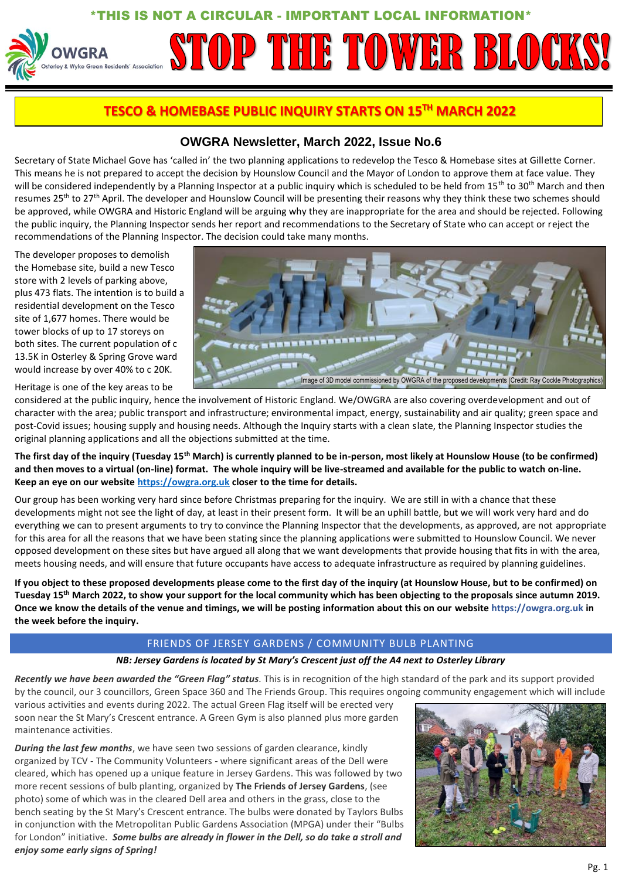## HIS IS NOT A CIRCULAR - IMPORTANT LOCAL INFORMATION\*

# STOP THE TOWER BLOCK **WGRA** & Wyke Green Residents' Association

# **TESCO & HOMEBASE PUBLIC INQUIRY STARTS ON 15TH MARCH 2022**

## **OWGRA Newsletter, March 2022, Issue No.6**

Secretary of State Michael Gove has 'called in' the two planning applications to redevelop the Tesco & Homebase sites at Gillette Corner. This means he is not prepared to accept the decision by Hounslow Council and the Mayor of London to approve them at face value. They will be considered independently by a Planning Inspector at a public inquiry which is scheduled to be held from  $15<sup>th</sup>$  to  $30<sup>th</sup>$  March and then resumes 25<sup>th</sup> to 27<sup>th</sup> April. The developer and Hounslow Council will be presenting their reasons why they think these two schemes should be approved, while OWGRA and Historic England will be arguing why they are inappropriate for the area and should be rejected. Following the public inquiry, the Planning Inspector sends her report and recommendations to the Secretary of State who can accept or reject the recommendations of the Planning Inspector. The decision could take many months.

The developer proposes to demolish the Homebase site, build a new Tesco store with 2 levels of parking above, plus 473 flats. The intention is to build a residential development on the Tesco site of 1,677 homes. There would be tower blocks of up to 17 storeys on both sites. The current population of c 13.5K in Osterley & Spring Grove ward would increase by over 40% to c 20K.

Heritage is one of the key areas to be

considered at the public inquiry, hence the involvement of Historic England. We/OWGRA are also covering overdevelopment and out of character with the area; public transport and infrastructure; environmental impact, energy, sustainability and air quality; green space and post-Covid issues; housing supply and housing needs. Although the Inquiry starts with a clean slate, the Planning Inspector studies the original planning applications and all the objections submitted at the time.

**The first day of the inquiry (Tuesday 15th March) is currently planned to be in-person, most likely at Hounslow House (to be confirmed) and then moves to a virtual (on-line) format. The whole inquiry will be live-streamed and available for the public to watch on-line. Keep an eye on our websit[e https://owgra.org.uk](http://www.owgra.org.uk/) closer to the time for details.** 

Our group has been working very hard since before Christmas preparing for the inquiry. We are still in with a chance that these developments might not see the light of day, at least in their present form. It will be an uphill battle, but we will work very hard and do everything we can to present arguments to try to convince the Planning Inspector that the developments, as approved, are not appropriate for this area for all the reasons that we have been stating since the planning applications were submitted to Hounslow Council. We never opposed development on these sites but have argued all along that we want developments that provide housing that fits in with the area, meets housing needs, and will ensure that future occupants have access to adequate infrastructure as required by planning guidelines.

**If you object to these proposed developments please come to the first day of the inquiry (at Hounslow House, but to be confirmed) on Tuesday 15th March 2022, to show your support for the local community which has been objecting to the proposals since autumn 2019. Once we know the details of the venue and timings, we will be posting information about this on our website https://owgra.org.uk in the week before the inquiry.**

### FRIENDS OF JERSEY GARDENS / COMMUNITY BULB PLANTING

#### *NB: Jersey Gardens is located by St Mary's Crescent just off the A4 next to Osterley Library*

*Recently we have been awarded the "Green Flag" status.* This is in recognition of the high standard of the park and its support provided by the council, our 3 councillors, Green Space 360 and The Friends Group. This requires ongoing community engagement which will include

various activities and events during 2022. The actual Green Flag itself will be erected very soon near the St Mary's Crescent entrance. A Green Gym is also planned plus more garden maintenance activities.

*During the last few months*, we have seen two sessions of garden clearance, kindly organized by TCV - The Community Volunteers - where significant areas of the Dell were cleared, which has opened up a unique feature in Jersey Gardens. This was followed by two more recent sessions of bulb planting, organized by **The Friends of Jersey Gardens**, (see photo) some of which was in the cleared Dell area and others in the grass, close to the bench seating by the St Mary's Crescent entrance. The bulbs were donated by Taylors Bulbs in conjunction with the Metropolitan Public Gardens Association (MPGA) under their "Bulbs for London" initiative. *Some bulbs are already in flower in the Dell, so do take a stroll and enjoy some early signs of Spring!*